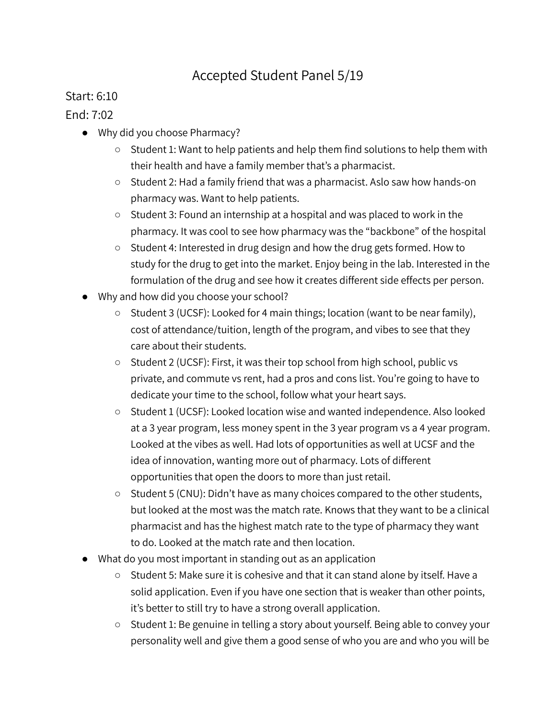## Accepted Student Panel 5/19

## Start: 6:10

## End: 7:02

- Why did you choose Pharmacy?
	- Student 1: Want to help patients and help them find solutions to help them with their health and have a family member that's a pharmacist.
	- Student 2: Had a family friend that was a pharmacist. Aslo saw how hands-on pharmacy was. Want to help patients.
	- Student 3: Found an internship at a hospital and was placed to work in the pharmacy. It was cool to see how pharmacy was the "backbone" of the hospital
	- Student 4: Interested in drug design and how the drug gets formed. How to study for the drug to get into the market. Enjoy being in the lab. Interested in the formulation of the drug and see how it creates different side effects per person.
- Why and how did you choose your school?
	- Student 3 (UCSF): Looked for 4 main things; location (want to be near family), cost of attendance/tuition, length of the program, and vibes to see that they care about their students.
	- Student 2 (UCSF): First, it was their top school from high school, public vs private, and commute vs rent, had a pros and cons list. You're going to have to dedicate your time to the school, follow what your heart says.
	- Student 1 (UCSF): Looked location wise and wanted independence. Also looked at a 3 year program, less money spent in the 3 year program vs a 4 year program. Looked at the vibes as well. Had lots of opportunities as well at UCSF and the idea of innovation, wanting more out of pharmacy. Lots of different opportunities that open the doors to more than just retail.
	- Student 5 (CNU): Didn't have as many choices compared to the other students, but looked at the most was the match rate. Knows that they want to be a clinical pharmacist and has the highest match rate to the type of pharmacy they want to do. Looked at the match rate and then location.
- What do you most important in standing out as an application
	- Student 5: Make sure it is cohesive and that it can stand alone by itself. Have a solid application. Even if you have one section that is weaker than other points, it's better to still try to have a strong overall application.
	- Student 1: Be genuine in telling a story about yourself. Being able to convey your personality well and give them a good sense of who you are and who you will be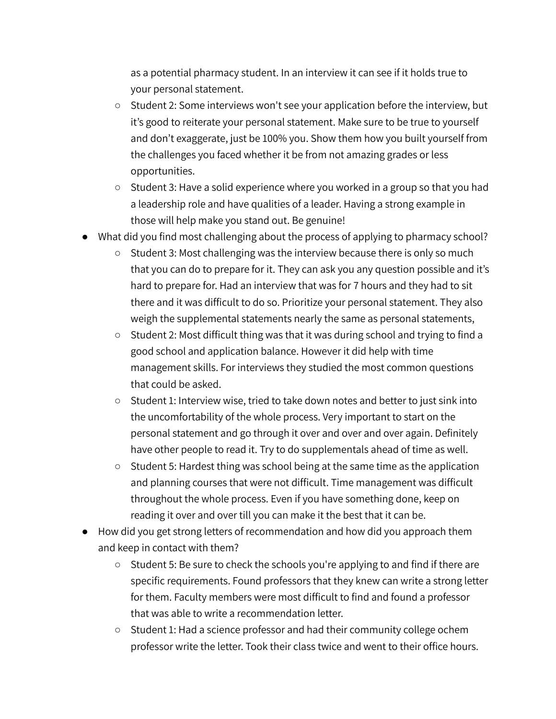as a potential pharmacy student. In an interview it can see if it holds true to your personal statement.

- Student 2: Some interviews won't see your application before the interview, but it's good to reiterate your personal statement. Make sure to be true to yourself and don't exaggerate, just be 100% you. Show them how you built yourself from the challenges you faced whether it be from not amazing grades or less opportunities.
- Student 3: Have a solid experience where you worked in a group so that you had a leadership role and have qualities of a leader. Having a strong example in those will help make you stand out. Be genuine!
- What did you find most challenging about the process of applying to pharmacy school?
	- Student 3: Most challenging was the interview because there is only so much that you can do to prepare for it. They can ask you any question possible and it's hard to prepare for. Had an interview that was for 7 hours and they had to sit there and it was difficult to do so. Prioritize your personal statement. They also weigh the supplemental statements nearly the same as personal statements,
	- Student 2: Most difficult thing was that it was during school and trying to find a good school and application balance. However it did help with time management skills. For interviews they studied the most common questions that could be asked.
	- Student 1: Interview wise, tried to take down notes and better to just sink into the uncomfortability of the whole process. Very important to start on the personal statement and go through it over and over and over again. Definitely have other people to read it. Try to do supplementals ahead of time as well.
	- Student 5: Hardest thing was school being at the same time as the application and planning courses that were not difficult. Time management was difficult throughout the whole process. Even if you have something done, keep on reading it over and over till you can make it the best that it can be.
- How did you get strong letters of recommendation and how did you approach them and keep in contact with them?
	- Student 5: Be sure to check the schools you're applying to and find if there are specific requirements. Found professors that they knew can write a strong letter for them. Faculty members were most difficult to find and found a professor that was able to write a recommendation letter.
	- Student 1: Had a science professor and had their community college ochem professor write the letter. Took their class twice and went to their office hours.